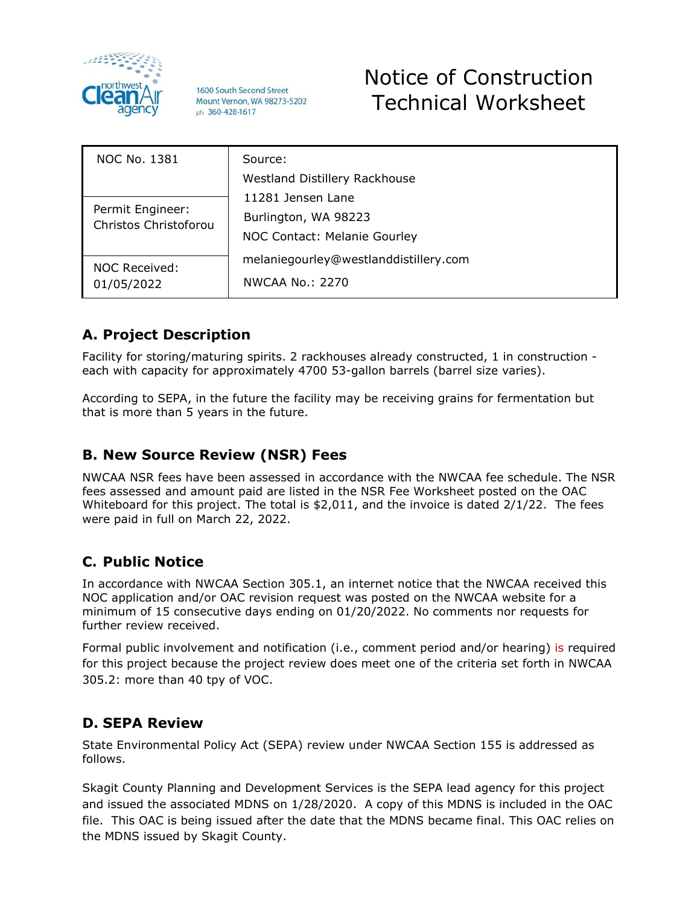

1600 South Second Street Mount Vernon, WA 98273-5202 ph 360-428-1617

# Notice of Construction Technical Worksheet

| NOC No. 1381                              | Source:                               |
|-------------------------------------------|---------------------------------------|
|                                           | <b>Westland Distillery Rackhouse</b>  |
| Permit Engineer:<br>Christos Christoforou | 11281 Jensen Lane                     |
|                                           | Burlington, WA 98223                  |
|                                           | NOC Contact: Melanie Gourley          |
| NOC Received:<br>01/05/2022               | melaniegourley@westlanddistillery.com |
|                                           | NWCAA No.: 2270                       |

# **A. Project Description**

Facility for storing/maturing spirits. 2 rackhouses already constructed, 1 in construction each with capacity for approximately 4700 53-gallon barrels (barrel size varies).

According to SEPA, in the future the facility may be receiving grains for fermentation but that is more than 5 years in the future.

# **B. New Source Review (NSR) Fees**

NWCAA NSR fees have been assessed in accordance with the NWCAA fee schedule. The NSR fees assessed and amount paid are listed in the NSR Fee Worksheet posted on the OAC Whiteboard for this project. The total is \$2,011, and the invoice is dated 2/1/22. The fees were paid in full on March 22, 2022.

# **C. Public Notice**

In accordance with NWCAA Section 305.1, an internet notice that the NWCAA received this NOC application and/or OAC revision request was posted on the NWCAA website for a minimum of 15 consecutive days ending on 01/20/2022. No comments nor requests for further review received.

Formal public involvement and notification (i.e., comment period and/or hearing) is required for this project because the project review does meet one of the criteria set forth in [NWCAA](http://www.nwcleanair.org/formsRegs/regulations/section305.htm)  [305.2:](http://www.nwcleanair.org/formsRegs/regulations/section305.htm) more than 40 tpy of VOC.

# **D. SEPA Review**

State Environmental Policy Act (SEPA) review under NWCAA Section 155 is addressed as follows.

Skagit County Planning and Development Services is the SEPA lead agency for this project and issued the associated MDNS on 1/28/2020. A copy of this MDNS is included in the OAC file. This OAC is being issued after the date that the MDNS became final. This OAC relies on the MDNS issued by Skagit County.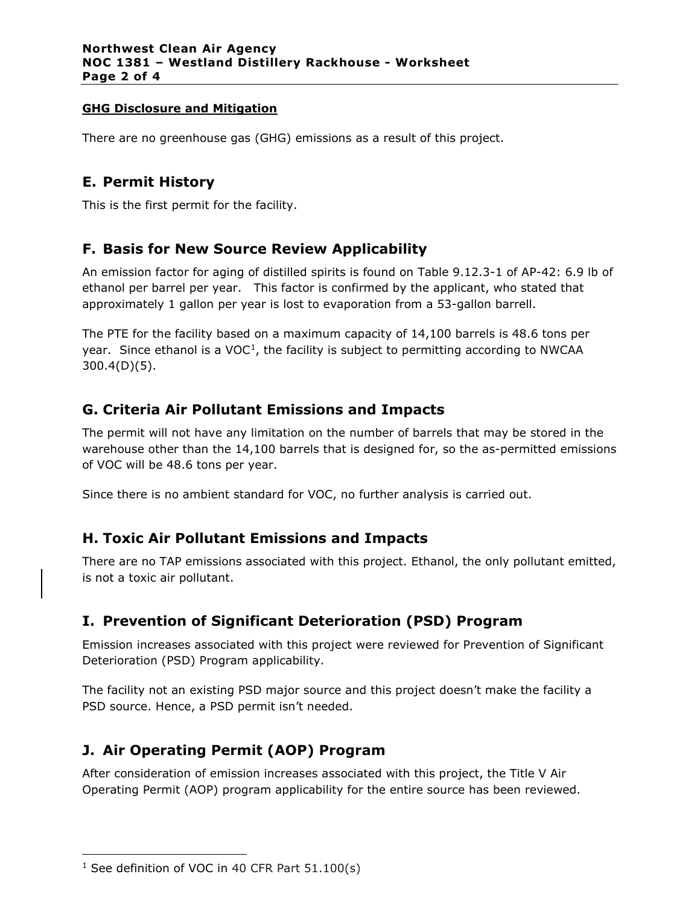#### **GHG Disclosure and Mitigation**

There are no greenhouse gas (GHG) emissions as a result of this project.

### **E. Permit History**

This is the first permit for the facility.

### **F. Basis for New Source Review Applicability**

An emission factor for aging of distilled spirits is found on Table 9.12.3-1 of AP-42: 6.9 lb of ethanol per barrel per year. This factor is confirmed by the applicant, who stated that approximately 1 gallon per year is lost to evaporation from a 53-gallon barrell.

The PTE for the facility based on a maximum capacity of 14,100 barrels is 48.6 tons per year. Since ethanol is a  $VOC<sup>1</sup>$ , the facility is subject to permitting according to NWCAA 300.4(D)(5).

# **G. Criteria Air Pollutant Emissions and Impacts**

The permit will not have any limitation on the number of barrels that may be stored in the warehouse other than the 14,100 barrels that is designed for, so the as-permitted emissions of VOC will be 48.6 tons per year.

Since there is no ambient standard for VOC, no further analysis is carried out.

### **H. Toxic Air Pollutant Emissions and Impacts**

There are no TAP emissions associated with this project. Ethanol, the only pollutant emitted, is not a toxic air pollutant.

# **I. Prevention of Significant Deterioration (PSD) Program**

Emission increases associated with this project were reviewed for Prevention of Significant Deterioration (PSD) Program applicability.

The facility not an existing PSD major source and this project doesn't make the facility a PSD source. Hence, a PSD permit isn't needed.

# **J. Air Operating Permit (AOP) Program**

After consideration of emission increases associated with this project, the Title V Air Operating Permit (AOP) program applicability for the entire source has been reviewed.

<span id="page-1-0"></span> $1$  See definition of VOC in 40 CFR Part 51.100(s)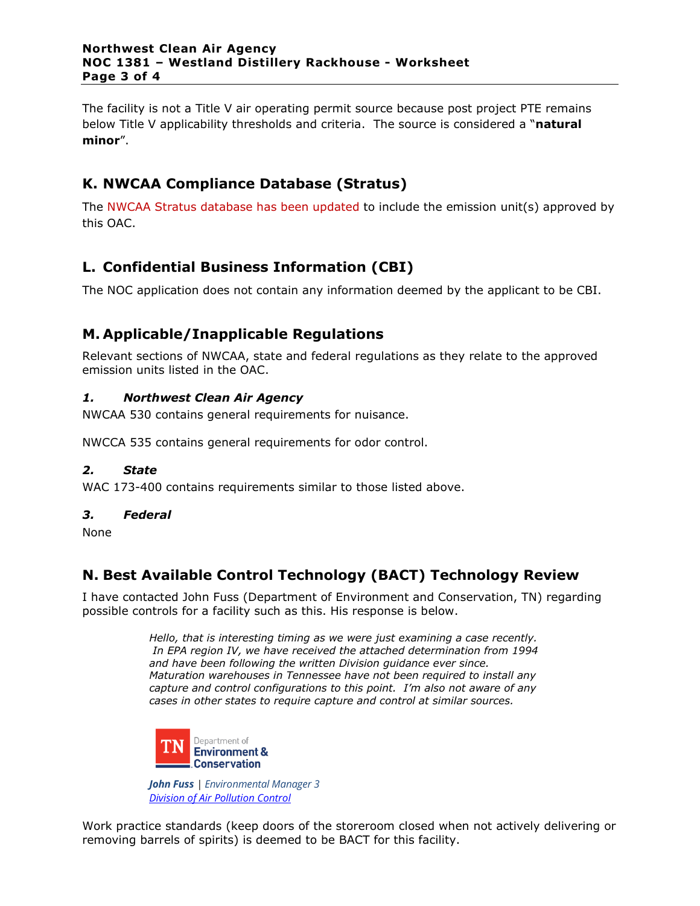#### **Northwest Clean Air Agency NOC 1381 – Westland Distillery Rackhouse - Worksheet Page 3 of 4**

The facility is not a Title V air operating permit source because post project PTE remains below Title V applicability thresholds and criteria. The source is considered a "**natural minor**".

# **K. NWCAA Compliance Database (Stratus)**

The NWCAA Stratus database has been updated to include the emission unit(s) approved by this OAC.

### **L. Confidential Business Information (CBI)**

The NOC application does not contain any information deemed by the applicant to be CBI.

### **M. Applicable/Inapplicable Regulations**

Relevant sections of NWCAA, state and federal regulations as they relate to the approved emission units listed in the OAC.

#### *1. Northwest Clean Air Agency*

NWCAA 530 contains general requirements for nuisance.

NWCCA 535 contains general requirements for odor control.

#### *2. State*

WAC 173-400 contains requirements similar to those listed above.

#### *3. Federal*

None

### **N. Best Available Control Technology (BACT) Technology Review**

I have contacted John Fuss (Department of Environment and Conservation, TN) regarding possible controls for a facility such as this. His response is below.

> *Hello, that is interesting timing as we were just examining a case recently. In EPA region IV, we have received the attached determination from 1994 and have been following the written Division guidance ever since. Maturation warehouses in Tennessee have not been required to install any capture and control configurations to this point. I'm also not aware of any cases in other states to require capture and control at similar sources.*



*John Fuss | Environmental Manager 3 [Division of Air Pollution Control](https://linkprotect.cudasvc.com/url?a=https%3a%2f%2fwww.tn.gov%2fenvironment%2fprogram-areas%2fapc-air-pollution-control-home.html&c=E,1,c_A4SQULFQDAPOm-OMfokDpl-UFz9-R2L9O-ot1NsZ1sYxdyd0ObFCgBFJdLNRb4csTZKpXJ7xyn5W2alRrm6xgbHb5gasRdQfKjN6PExwqlcA,,&typo=1)*

Work practice standards (keep doors of the storeroom closed when not actively delivering or removing barrels of spirits) is deemed to be BACT for this facility.